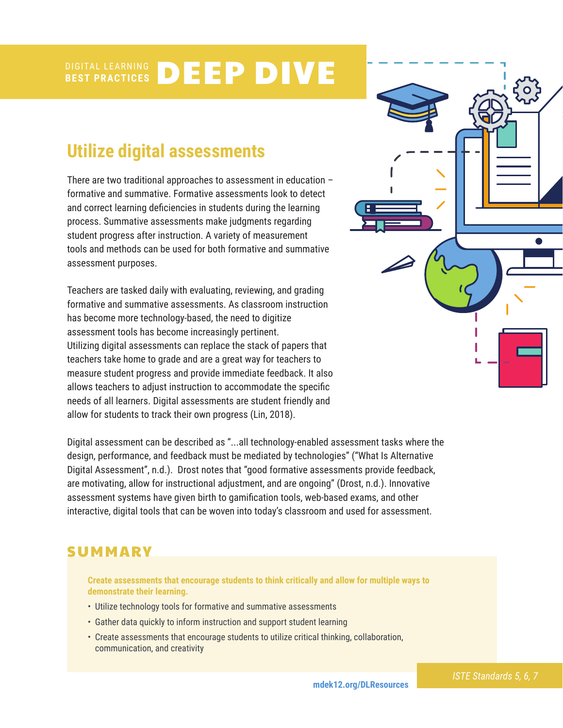### **BEST PRACTICES** DEEP DIVE

# **Utilize digital assessments**

There are two traditional approaches to assessment in education – formative and summative. Formative assessments look to detect and correct learning deficiencies in students during the learning process. Summative assessments make judgments regarding student progress after instruction. A variety of measurement tools and methods can be used for both formative and summative assessment purposes.

Teachers are tasked daily with evaluating, reviewing, and grading formative and summative assessments. As classroom instruction has become more technology-based, the need to digitize assessment tools has become increasingly pertinent. Utilizing digital assessments can replace the stack of papers that teachers take home to grade and are a great way for teachers to measure student progress and provide immediate feedback. It also allows teachers to adjust instruction to accommodate the specific needs of all learners. Digital assessments are student friendly and allow for students to track their own progress (Lin, 2018).

Digital assessment can be described as "...all technology-enabled assessment tasks where the design, performance, and feedback must be mediated by technologies" ("What Is Alternative Digital Assessment", n.d.). Drost notes that "good formative assessments provide feedback, are motivating, allow for instructional adjustment, and are ongoing" (Drost, n.d.). Innovative assessment systems have given birth to gamification tools, web-based exams, and other interactive, digital tools that can be woven into today's classroom and used for assessment.

### **SUMMARY**

**Create assessments that encourage students to think critically and allow for multiple ways to demonstrate their learning.**

- Utilize technology tools for formative and summative assessments
- Gather data quickly to inform instruction and support student learning
- Create assessments that encourage students to utilize critical thinking, collaboration, communication, and creativity

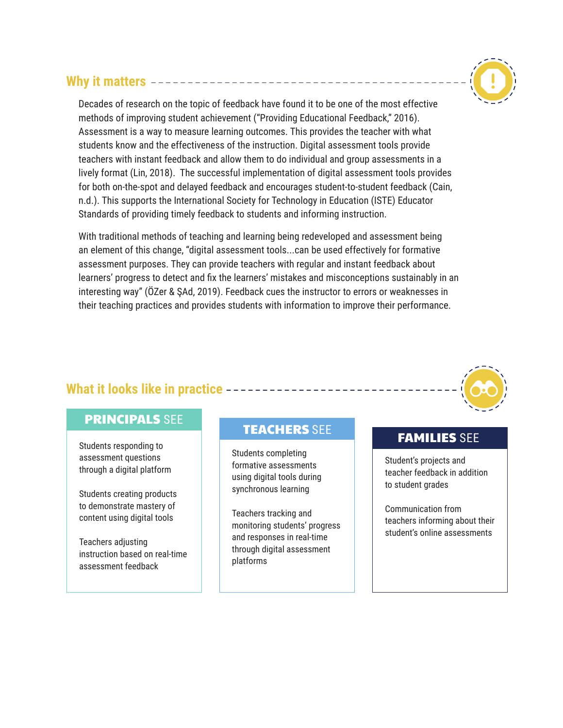### **Why it matters**



Decades of research on the topic of feedback have found it to be one of the most effective methods of improving student achievement ("Providing Educational Feedback," 2016). Assessment is a way to measure learning outcomes. This provides the teacher with what students know and the effectiveness of the instruction. Digital assessment tools provide teachers with instant feedback and allow them to do individual and group assessments in a lively format (Lin, 2018). The successful implementation of digital assessment tools provides for both on-the-spot and delayed feedback and encourages student-to-student feedback (Cain, n.d.). This supports the International Society for Technology in Education (ISTE) Educator Standards of providing timely feedback to students and informing instruction.

With traditional methods of teaching and learning being redeveloped and assessment being an element of this change, "digital assessment tools...can be used effectively for formative assessment purposes. They can provide teachers with regular and instant feedback about learners' progress to detect and fix the learners' mistakes and misconceptions sustainably in an interesting way" (ÖZer & ŞAd, 2019). Feedback cues the instructor to errors or weaknesses in their teaching practices and provides students with information to improve their performance.

### **What it looks like in practice**

### PRINCIPALS SEE

Students responding to assessment questions through a digital platform

Students creating products to demonstrate mastery of content using digital tools

Teachers adjusting instruction based on real-time assessment feedback

## TEACHERS SEE TEAMILIES SEE

Students completing formative assessments using digital tools during synchronous learning

Teachers tracking and monitoring students' progress and responses in real-time through digital assessment platforms

Student's projects and teacher feedback in addition to student grades

Communication from teachers informing about their student's online assessments